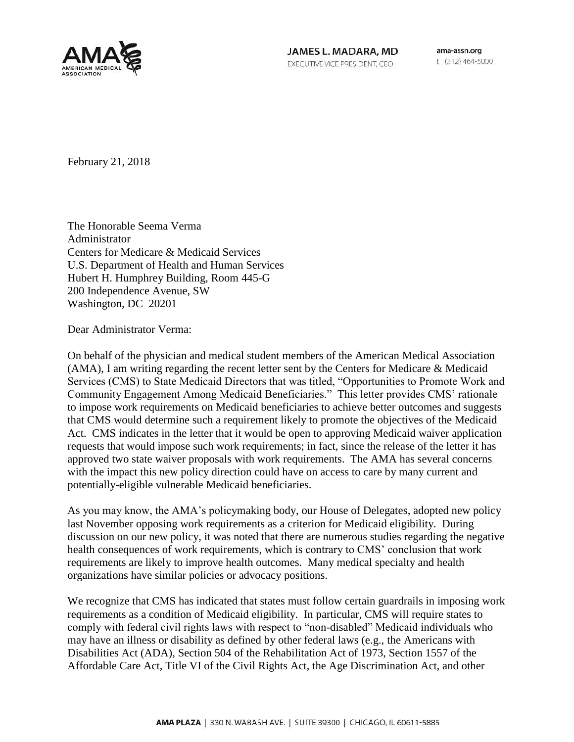

JAMES L. MADARA, MD EXECUTIVE VICE PRESIDENT, CEO

ama-assn.org t (312) 464-5000

February 21, 2018

The Honorable Seema Verma Administrator Centers for Medicare & Medicaid Services U.S. Department of Health and Human Services Hubert H. Humphrey Building, Room 445-G 200 Independence Avenue, SW Washington, DC 20201

Dear Administrator Verma:

On behalf of the physician and medical student members of the American Medical Association (AMA), I am writing regarding the recent letter sent by the Centers for Medicare & Medicaid Services (CMS) to State Medicaid Directors that was titled, "Opportunities to Promote Work and Community Engagement Among Medicaid Beneficiaries." This letter provides CMS' rationale to impose work requirements on Medicaid beneficiaries to achieve better outcomes and suggests that CMS would determine such a requirement likely to promote the objectives of the Medicaid Act. CMS indicates in the letter that it would be open to approving Medicaid waiver application requests that would impose such work requirements; in fact, since the release of the letter it has approved two state waiver proposals with work requirements. The AMA has several concerns with the impact this new policy direction could have on access to care by many current and potentially-eligible vulnerable Medicaid beneficiaries.

As you may know, the AMA's policymaking body, our House of Delegates, adopted new policy last November opposing work requirements as a criterion for Medicaid eligibility. During discussion on our new policy, it was noted that there are numerous studies regarding the negative health consequences of work requirements, which is contrary to CMS' conclusion that work requirements are likely to improve health outcomes. Many medical specialty and health organizations have similar policies or advocacy positions.

We recognize that CMS has indicated that states must follow certain guardrails in imposing work requirements as a condition of Medicaid eligibility. In particular, CMS will require states to comply with federal civil rights laws with respect to "non-disabled" Medicaid individuals who may have an illness or disability as defined by other federal laws (e.g., the Americans with Disabilities Act (ADA), Section 504 of the Rehabilitation Act of 1973, Section 1557 of the Affordable Care Act, Title VI of the Civil Rights Act, the Age Discrimination Act, and other